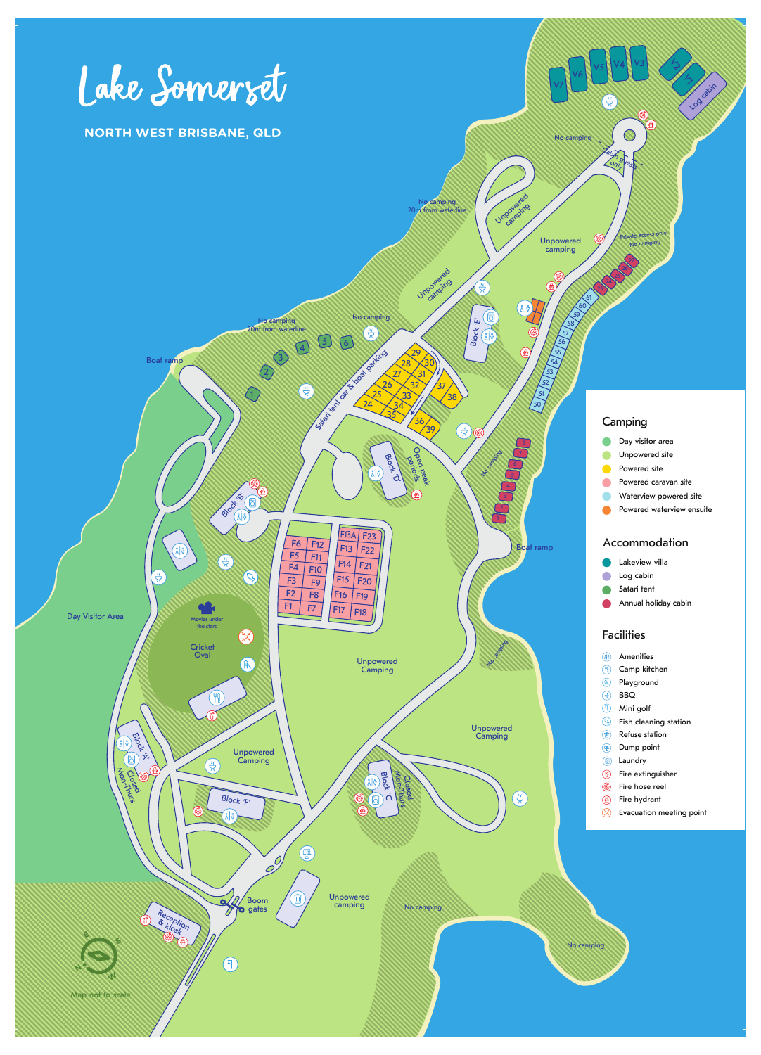